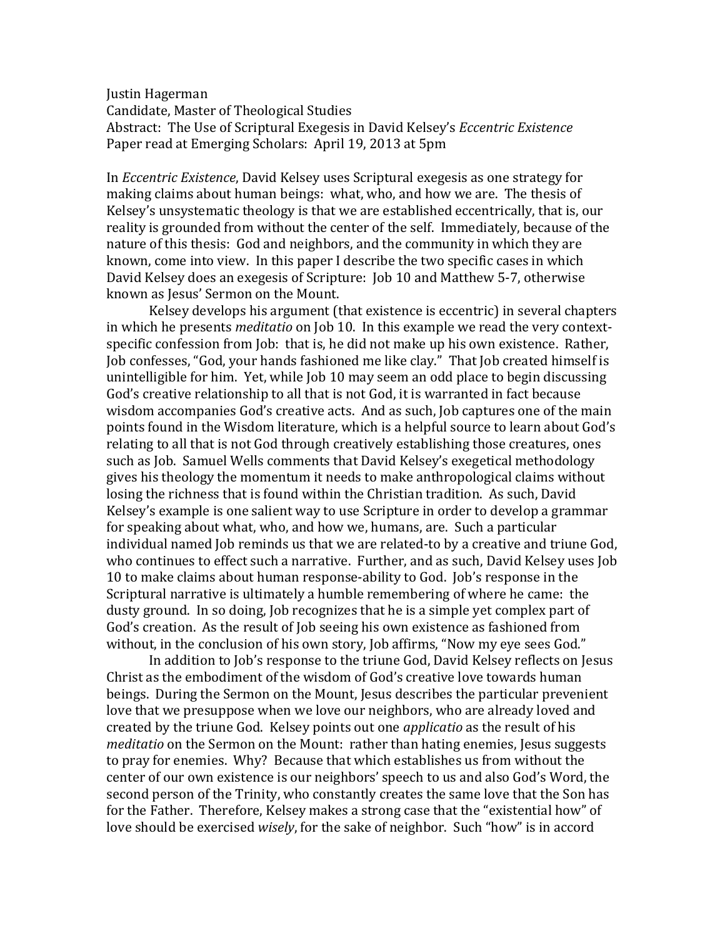Justin Hagerman Candidate, Master of Theological Studies Abstract: The Use of Scriptural Exegesis in David Kelsey's *Eccentric Existence* Paper read at Emerging Scholars: April 19, 2013 at 5pm

In *Eccentric Existence*, David Kelsey uses Scriptural exegesis as one strategy for making claims about human beings: what, who, and how we are. The thesis of Kelsey's unsystematic theology is that we are established eccentrically, that is, our reality is grounded from without the center of the self. Immediately, because of the nature of this thesis: God and neighbors, and the community in which they are known, come into view. In this paper I describe the two specific cases in which David Kelsey does an exegesis of Scripture: Job 10 and Matthew 5-7, otherwise known as Jesus' Sermon on the Mount.

Kelsey develops his argument (that existence is eccentric) in several chapters in which he presents *meditatio* on Job 10. In this example we read the very contextspecific confession from Job: that is, he did not make up his own existence. Rather, Job confesses, "God, your hands fashioned me like clay." That Job created himself is unintelligible for him. Yet, while Job 10 may seem an odd place to begin discussing God's creative relationship to all that is not God, it is warranted in fact because wisdom accompanies God's creative acts. And as such, Job captures one of the main points found in the Wisdom literature, which is a helpful source to learn about God's relating to all that is not God through creatively establishing those creatures, ones such as Job. Samuel Wells comments that David Kelsey's exegetical methodology gives his theology the momentum it needs to make anthropological claims without losing the richness that is found within the Christian tradition. As such, David Kelsey's example is one salient way to use Scripture in order to develop a grammar for speaking about what, who, and how we, humans, are. Such a particular individual named Job reminds us that we are related-to by a creative and triune God, who continues to effect such a narrative. Further, and as such, David Kelsey uses Job 10 to make claims about human response-ability to God. Job's response in the Scriptural narrative is ultimately a humble remembering of where he came: the dusty ground. In so doing, Job recognizes that he is a simple yet complex part of God's creation. As the result of Job seeing his own existence as fashioned from without, in the conclusion of his own story, Job affirms, "Now my eye sees God."

In addition to Job's response to the triune God, David Kelsey reflects on Jesus Christ as the embodiment of the wisdom of God's creative love towards human beings. During the Sermon on the Mount, Jesus describes the particular prevenient love that we presuppose when we love our neighbors, who are already loved and created by the triune God. Kelsey points out one *applicatio* as the result of his *meditatio* on the Sermon on the Mount: rather than hating enemies, Jesus suggests to pray for enemies. Why? Because that which establishes us from without the center of our own existence is our neighbors' speech to us and also God's Word, the second person of the Trinity, who constantly creates the same love that the Son has for the Father. Therefore, Kelsey makes a strong case that the "existential how" of love should be exercised *wisely*, for the sake of neighbor. Such "how" is in accord